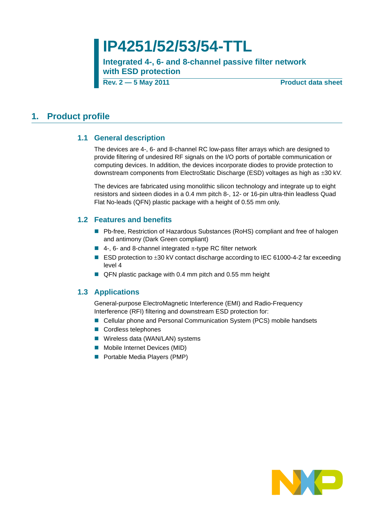# **IP4251/52/53/54-TTL**

**Integrated 4-, 6- and 8-channel passive filter network with ESD protection**

**Rev. 2 — 5 May 2011** Product data sheet

### <span id="page-0-1"></span><span id="page-0-0"></span>**1. Product profile**

#### **1.1 General description**

The devices are 4-, 6- and 8-channel RC low-pass filter arrays which are designed to provide filtering of undesired RF signals on the I/O ports of portable communication or computing devices. In addition, the devices incorporate diodes to provide protection to downstream components from ElectroStatic Discharge (ESD) voltages as high as ±30 kV.

The devices are fabricated using monolithic silicon technology and integrate up to eight resistors and sixteen diodes in a 0.4 mm pitch 8-, 12- or 16-pin ultra-thin leadless Quad Flat No-leads (QFN) plastic package with a height of 0.55 mm only.

#### <span id="page-0-2"></span>**1.2 Features and benefits**

- Pb-free, Restriction of Hazardous Substances (RoHS) compliant and free of halogen and antimony (Dark Green compliant)
- $\blacksquare$  4-, 6- and 8-channel integrated  $\pi$ -type RC filter network
- ESD protection to ±30 kV contact discharge according to IEC 61000-4-2 far exceeding level 4
- QFN plastic package with 0.4 mm pitch and 0.55 mm height

#### <span id="page-0-3"></span>**1.3 Applications**

General-purpose ElectroMagnetic Interference (EMI) and Radio-Frequency Interference (RFI) filtering and downstream ESD protection for:

- Cellular phone and Personal Communication System (PCS) mobile handsets
- Cordless telephones
- **Wireless data (WAN/LAN) systems**
- **Mobile Internet Devices (MID)**
- **Portable Media Players (PMP)**

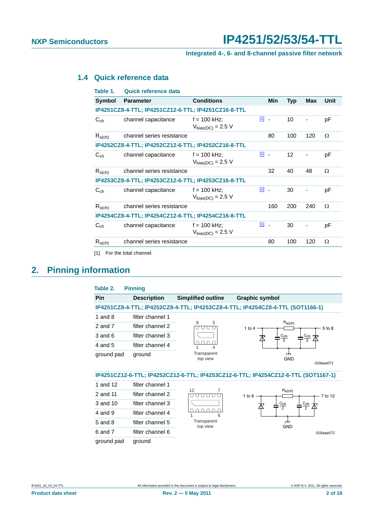#### **Integrated 4-, 6- and 8-channel passive filter network**

### <span id="page-1-2"></span>**1.4 Quick reference data**

| Table 1.      | <b>Quick reference data</b>                         |                                          |            |                   |     |      |
|---------------|-----------------------------------------------------|------------------------------------------|------------|-------------------|-----|------|
| <b>Symbol</b> | <b>Parameter</b>                                    | <b>Conditions</b>                        | <b>Min</b> | <b>Typ</b>        | Max | Unit |
|               | IP4251CZ8-4-TTL; IP4251CZ12-6-TTL; IP4251CZ16-8-TTL |                                          |            |                   |     |      |
| $C_{ch}$      | channel capacitance                                 | $f = 100$ kHz;<br>$V_{bias(DC)}$ = 2.5 V | 凹 -        | 10                |     | рF   |
| $R_{s(ch)}$   | channel series resistance                           |                                          | 80         | 100               | 120 | Ω    |
|               | IP4252CZ8-4-TTL; IP4252CZ12-6-TTL; IP4252CZ16-8-TTL |                                          |            |                   |     |      |
| $C_{ch}$      | channel capacitance                                 | $f = 100$ kHz;<br>$V_{bias(DC)} = 2.5 V$ | 凹 -        | $12 \overline{ }$ |     | рF   |
| $R_{s(ch)}$   | channel series resistance                           |                                          | 32         | 40                | 48  | Ω    |
|               | IP4253CZ8-4-TTL; IP4253CZ12-6-TTL; IP4253CZ16-8-TTL |                                          |            |                   |     |      |
| $C_{ch}$      | channel capacitance                                 | $f = 100$ kHz;<br>$V_{bias(DC)}$ = 2.5 V | 凹 -        | 30                |     | pF   |
| $R_{s(ch)}$   | channel series resistance                           |                                          | 160        | 200               | 240 | Ω    |
|               | IP4254CZ8-4-TTL; IP4254CZ12-6-TTL; IP4254CZ16-8-TTL |                                          |            |                   |     |      |
| $C_{ch}$      | channel capacitance                                 | $f = 100$ kHz;<br>$V_{bias(DC)} = 2.5 V$ | $11 -$     | 30                |     | pF   |
| $R_{s(ch)}$   | channel series resistance                           |                                          | 80         | 100               | 120 | Ω    |

<span id="page-1-0"></span>[1] For the total channel.

### <span id="page-1-3"></span>**2. Pinning information**

<span id="page-1-1"></span>

| Table 2.    | <b>Pinning</b>     |                           |                                                                                    |
|-------------|--------------------|---------------------------|------------------------------------------------------------------------------------|
| <b>Pin</b>  | <b>Description</b> | <b>Simplified outline</b> | <b>Graphic symbol</b>                                                              |
|             |                    |                           | IP4251CZ8-4-TTL; IP4252CZ8-4-TTL; IP4253CZ8-4-TTL; IP4254CZ8-4-TTL (SOT1166-1)     |
| 1 and $8$   | filter channel 1   |                           |                                                                                    |
| 2 and 7     | filter channel 2   | 8<br>5<br>U               | $R_S(ch)$<br>1 to $4$<br>5 to 8                                                    |
| 3 and 6     | filter channel 3   |                           | $C_{\mathsf{ch}}$<br>$\frac{C_{\text{ch}}}{2}$<br>$\overline{2}$                   |
| 4 and 5     | filter channel 4   | Δ                         |                                                                                    |
| ground pad  | ground             | Transparent<br>top view   | m<br><b>GND</b><br>018aaa071                                                       |
|             |                    |                           | IP4251CZ12-6-TTL; IP4252CZ12-6-TTL; IP4253CZ12-6-TTL; IP4254CZ12-6-TTL (SOT1167-1) |
| 1 and 12    | filter channel 1   |                           |                                                                                    |
| 2 and 11    | filter channel 2   | 12                        | $R_S(ch)$<br>7 to 12<br>1 to $6$                                                   |
| 3 and 10    | filter channel 3   |                           | $\frac{C_{\mathsf{ch}}}{2}$<br>$\frac{C_{\text{ch}}}{2}$                           |
| $4$ and $9$ | filter channel 4   | 6                         |                                                                                    |
| 5 and 8     | filter channel 5   | Transparent<br>top view   | 777<br><b>GND</b>                                                                  |
| 6 and 7     | filter channel 6   |                           | 018aaa072                                                                          |
| ground pad  | ground             |                           |                                                                                    |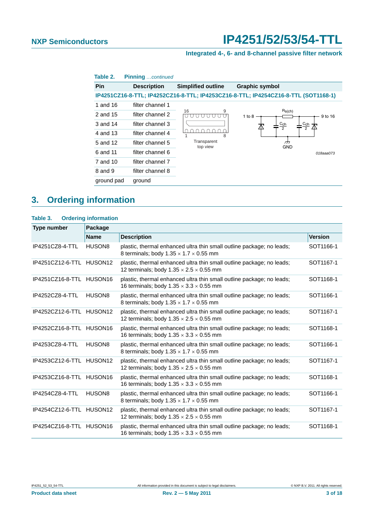### **Integrated 4-, 6- and 8-channel passive filter network**

| Table 2.   | <b>Pinning</b> continued |                           |                                                                                    |
|------------|--------------------------|---------------------------|------------------------------------------------------------------------------------|
| <b>Pin</b> | <b>Description</b>       | <b>Simplified outline</b> | <b>Graphic symbol</b>                                                              |
|            |                          |                           | IP4251CZ16-8-TTL; IP4252CZ16-8-TTL; IP4253CZ16-8-TTL; IP4254CZ16-8-TTL (SOT1168-1) |
| 1 and 16   | filter channel 1         |                           |                                                                                    |
| 2 and 15   | filter channel 2         | 9<br>16                   | $R_S(ch)$<br>1 to $8 -$<br>9 to 16                                                 |
| 3 and 14   | filter channel 3         |                           | $c_{\mathsf{ch}}$<br>Cch<br>$\overline{2}$                                         |
| 4 and 13   | filter channel 4         | 8                         |                                                                                    |
| 5 and 12   | filter channel 5         | Transparent<br>top view   | 777<br><b>GND</b>                                                                  |
| 6 and 11   | filter channel 6         |                           | 018aaa073                                                                          |
| 7 and 10   | filter channel 7         |                           |                                                                                    |
| 8 and 9    | filter channel 8         |                           |                                                                                    |
| ground pad | ground                   |                           |                                                                                    |

### <span id="page-2-0"></span>**3. Ordering information**

| Table 3. | <b>Ordering information</b> |  |
|----------|-----------------------------|--|

| <b>Type number</b>       | Package             |                                                                                                                              |                |
|--------------------------|---------------------|------------------------------------------------------------------------------------------------------------------------------|----------------|
|                          | <b>Name</b>         | <b>Description</b>                                                                                                           | <b>Version</b> |
| IP4251CZ8-4-TTL          | HUSON <sub>8</sub>  | plastic, thermal enhanced ultra thin small outline package; no leads;<br>8 terminals; body $1.35 \times 1.7 \times 0.55$ mm  | SOT1166-1      |
| IP4251CZ12-6-TTL         | HUSON <sub>12</sub> | plastic, thermal enhanced ultra thin small outline package; no leads;<br>12 terminals; body $1.35 \times 2.5 \times 0.55$ mm | SOT1167-1      |
| IP4251CZ16-8-TTL HUSON16 |                     | plastic, thermal enhanced ultra thin small outline package; no leads;<br>16 terminals; body $1.35 \times 3.3 \times 0.55$ mm | SOT1168-1      |
| IP4252CZ8-4-TTL          | HUSON <sub>8</sub>  | plastic, thermal enhanced ultra thin small outline package; no leads;<br>8 terminals; body $1.35 \times 1.7 \times 0.55$ mm  | SOT1166-1      |
| IP4252CZ12-6-TTL HUSON12 |                     | plastic, thermal enhanced ultra thin small outline package; no leads;<br>12 terminals; body $1.35 \times 2.5 \times 0.55$ mm | SOT1167-1      |
| IP4252CZ16-8-TTL HUSON16 |                     | plastic, thermal enhanced ultra thin small outline package; no leads;<br>16 terminals; body $1.35 \times 3.3 \times 0.55$ mm | SOT1168-1      |
| IP4253CZ8-4-TTL          | HUSON <sub>8</sub>  | plastic, thermal enhanced ultra thin small outline package; no leads;<br>8 terminals; body $1.35 \times 1.7 \times 0.55$ mm  | SOT1166-1      |
| IP4253CZ12-6-TTL HUSON12 |                     | plastic, thermal enhanced ultra thin small outline package; no leads;<br>12 terminals; body $1.35 \times 2.5 \times 0.55$ mm | SOT1167-1      |
| IP4253CZ16-8-TTL HUSON16 |                     | plastic, thermal enhanced ultra thin small outline package; no leads;<br>16 terminals; body $1.35 \times 3.3 \times 0.55$ mm | SOT1168-1      |
| IP4254CZ8-4-TTL          | HUSON <sub>8</sub>  | plastic, thermal enhanced ultra thin small outline package; no leads;<br>8 terminals; body $1.35 \times 1.7 \times 0.55$ mm  | SOT1166-1      |
| IP4254CZ12-6-TTL HUSON12 |                     | plastic, thermal enhanced ultra thin small outline package; no leads;<br>12 terminals; body $1.35 \times 2.5 \times 0.55$ mm | SOT1167-1      |
| IP4254CZ16-8-TTL HUSON16 |                     | plastic, thermal enhanced ultra thin small outline package; no leads;<br>16 terminals; body $1.35 \times 3.3 \times 0.55$ mm | SOT1168-1      |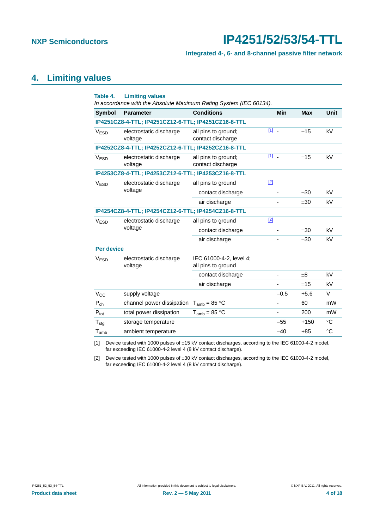#### **Integrated 4-, 6- and 8-channel passive filter network**

### <span id="page-3-2"></span>**4. Limiting values**

| Table 4.                                               | <b>Limiting values</b><br>In accordance with the Absolute Maximum Rating System (IEC 60134). |                                               |                          |            |             |
|--------------------------------------------------------|----------------------------------------------------------------------------------------------|-----------------------------------------------|--------------------------|------------|-------------|
| <b>Symbol</b>                                          | <b>Parameter</b>                                                                             | <b>Conditions</b>                             | <b>Min</b>               | <b>Max</b> | Unit        |
|                                                        | IP4251CZ8-4-TTL; IP4251CZ12-6-TTL; IP4251CZ16-8-TTL                                          |                                               |                          |            |             |
| <b>VESD</b>                                            | electrostatic discharge<br>voltage                                                           | all pins to ground;<br>contact discharge      | $11 -$                   | ±15        | kV          |
|                                                        | IP4252CZ8-4-TTL; IP4252CZ12-6-TTL; IP4252CZ16-8-TTL                                          |                                               |                          |            |             |
| V <sub>ESD</sub>                                       | electrostatic discharge<br>voltage                                                           | all pins to ground;<br>contact discharge      | [1] -                    | ±15        | kV          |
|                                                        | IP4253CZ8-4-TTL; IP4253CZ12-6-TTL; IP4253CZ16-8-TTL                                          |                                               |                          |            |             |
| V <sub>ESD</sub>                                       | electrostatic discharge<br>voltage                                                           | all pins to ground                            | $[2]$                    |            |             |
|                                                        |                                                                                              | contact discharge                             | $\overline{\phantom{m}}$ | ±30        | kV          |
|                                                        |                                                                                              | air discharge                                 |                          | ±30        | kV          |
|                                                        | IP4254CZ8-4-TTL; IP4254CZ12-6-TTL; IP4254CZ16-8-TTL                                          |                                               |                          |            |             |
| V <sub>ESD</sub>                                       | electrostatic discharge<br>voltage                                                           | all pins to ground                            | $[2]$                    |            |             |
|                                                        |                                                                                              | contact discharge                             |                          | ±30        | kV          |
|                                                        |                                                                                              | air discharge                                 |                          | ±30        | kV          |
| <b>Per device</b>                                      |                                                                                              |                                               |                          |            |             |
| electrostatic discharge<br>V <sub>ESD</sub><br>voltage |                                                                                              | IEC 61000-4-2, level 4;<br>all pins to ground |                          |            |             |
|                                                        |                                                                                              | contact discharge                             |                          | $+8$       | kV          |
|                                                        |                                                                                              | air discharge                                 | $\overline{\phantom{a}}$ | ±15        | kV          |
| $V_{CC}$                                               | supply voltage                                                                               |                                               | $-0.5$                   | $+5.6$     | V           |
| $P_{ch}$                                               | channel power dissipation                                                                    | $T_{amb}$ = 85 °C                             | $\overline{\phantom{0}}$ | 60         | mW          |
| $P_{\text{tot}}$                                       | total power dissipation                                                                      | $T_{amb}$ = 85 °C                             | -                        | 200        | mW          |
| $\mathsf{T}_{\text{stg}}$                              | storage temperature                                                                          |                                               | $-55$                    | $+150$     | $^{\circ}C$ |
| $\mathsf{T}_{\mathsf{amb}}$                            | ambient temperature                                                                          |                                               | $-40$                    | $+85$      | $\circ$ C   |

<span id="page-3-0"></span>[1] Device tested with 1000 pulses of ±15 kV contact discharges, according to the IEC 61000-4-2 model, far exceeding IEC 61000-4-2 level 4 (8 kV contact discharge).

<span id="page-3-1"></span>[2] Device tested with 1000 pulses of  $\pm 30$  kV contact discharges, according to the IEC 61000-4-2 model, far exceeding IEC 61000-4-2 level 4 (8 kV contact discharge).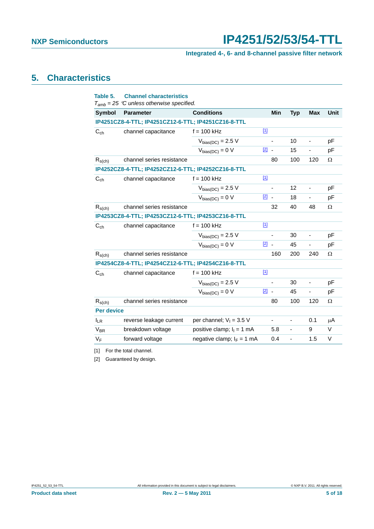### **Integrated 4-, 6- and 8-channel passive filter network**

### <span id="page-4-2"></span>**5. Characteristics**

| Table 5.          | <b>Channel characteristics</b><br>$T_{amb}$ = 25 °C unless otherwise specified. |                              |               |                          |                          |                          |          |
|-------------------|---------------------------------------------------------------------------------|------------------------------|---------------|--------------------------|--------------------------|--------------------------|----------|
| Symbol            | <b>Parameter</b>                                                                | <b>Conditions</b>            |               | <b>Min</b>               | <b>Typ</b>               | <b>Max</b>               | Unit     |
|                   | IP4251CZ8-4-TTL; IP4251CZ12-6-TTL; IP4251CZ16-8-TTL                             |                              |               |                          |                          |                          |          |
| $C_{ch}$          | channel capacitance                                                             | $f = 100$ kHz                | $[1]$         |                          |                          |                          |          |
|                   |                                                                                 | $V_{bias(DC)} = 2.5 V$       |               |                          | 10                       | $\blacksquare$           | pF       |
|                   |                                                                                 | $V_{bias(DC)} = 0 V$         | $\boxed{2}$ - |                          | 15                       | $\overline{\phantom{0}}$ | pF       |
| $R_{s(ch)}$       | channel series resistance                                                       |                              |               | 80                       | 100                      | 120                      | Ω        |
|                   | IP4252CZ8-4-TTL; IP4252CZ12-6-TTL; IP4252CZ16-8-TTL                             |                              |               |                          |                          |                          |          |
| $C_{ch}$          | channel capacitance                                                             | $f = 100$ kHz                | $\boxed{1}$   |                          |                          |                          |          |
|                   |                                                                                 | $V_{bias(DC)} = 2.5 V$       |               | ÷,                       | 12                       | $\blacksquare$           | pF       |
|                   |                                                                                 | $V_{bias(DC)} = 0 V$         | $\boxed{2}$ - |                          | 18                       | ÷,                       | pF       |
| $R_{s(ch)}$       | channel series resistance                                                       |                              |               | 32                       | 40                       | 48                       | Ω        |
|                   | IP4253CZ8-4-TTL; IP4253CZ12-6-TTL; IP4253CZ16-8-TTL                             |                              |               |                          |                          |                          |          |
| $C_{ch}$          | channel capacitance                                                             | $f = 100$ kHz                | $\boxed{1}$   |                          |                          |                          |          |
|                   |                                                                                 | $V_{bias(DC)} = 2.5 V$       |               | $\frac{1}{2}$            | 30                       | ä,                       | pF       |
|                   |                                                                                 | $V_{bias(DC)} = 0 V$         | $\boxed{2}$ - |                          | 45                       |                          | pF       |
| $R_{s(ch)}$       | channel series resistance                                                       |                              |               | 160                      | 200                      | 240                      | $\Omega$ |
|                   | IP4254CZ8-4-TTL; IP4254CZ12-6-TTL; IP4254CZ16-8-TTL                             |                              |               |                          |                          |                          |          |
| $C_{ch}$          | channel capacitance                                                             | $f = 100$ kHz                | $[1]$         |                          |                          |                          |          |
|                   |                                                                                 | $V_{bias(DC)} = 2.5 V$       |               | $\overline{\phantom{a}}$ | 30                       | -                        | pF       |
|                   |                                                                                 | $V_{bias(DC)} = 0 V$         | $\boxed{2}$ - |                          | 45                       |                          | pF       |
| $R_{s(ch)}$       | channel series resistance                                                       |                              |               | 80                       | 100                      | 120                      | $\Omega$ |
| <b>Per device</b> |                                                                                 |                              |               |                          |                          |                          |          |
| $I_{LR}$          | reverse leakage current                                                         | per channel; $V_1 = 3.5$ V   |               | $\overline{\phantom{0}}$ | $\overline{\phantom{a}}$ | 0.1                      | μA       |
| $V_{BR}$          | breakdown voltage                                                               | positive clamp; $I_1 = 1$ mA |               | 5.8                      | $\blacksquare$           | 9                        | $\vee$   |
| $V_F$             | forward voltage                                                                 | negative clamp; $I_F = 1$ mA |               | 0.4                      | ÷,                       | 1.5                      | V        |

<span id="page-4-0"></span>[1] For the total channel.

<span id="page-4-1"></span>[2] Guaranteed by design.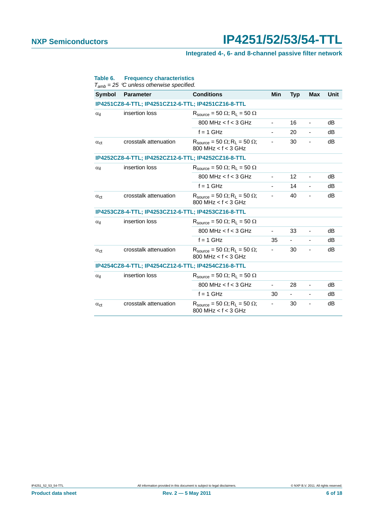### **Integrated 4-, 6- and 8-channel passive filter network**

| <b>Symbol</b>                   | <b>Parameter</b>                                    | <b>Conditions</b>                                                                | Min                      | <b>Typ</b> | <b>Max</b>                   | Unit |
|---------------------------------|-----------------------------------------------------|----------------------------------------------------------------------------------|--------------------------|------------|------------------------------|------|
|                                 | IP4251CZ8-4-TTL; IP4251CZ12-6-TTL; IP4251CZ16-8-TTL |                                                                                  |                          |            |                              |      |
| $\alpha_{\rm il}$               | insertion loss                                      | $R_{\text{source}} = 50 \Omega$ ; $R_1 = 50 \Omega$                              |                          |            |                              |      |
|                                 |                                                     | 800 MHz $<$ f $<$ 3 GHz                                                          | $\overline{\phantom{a}}$ | 16         | $\overline{\phantom{a}}$     | dB   |
|                                 |                                                     | $f = 1$ GHz                                                                      |                          | 20         | $\overline{\phantom{a}}$     | dB   |
| $\alpha_{\rm ct}$               | crosstalk attenuation                               | $R_{\text{source}} = 50 \Omega$ ; $R_L = 50 \Omega$ ;<br>800 MHz $<$ f $<$ 3 GHz |                          | 30         | -                            | dB   |
|                                 | IP4252CZ8-4-TTL; IP4252CZ12-6-TTL; IP4252CZ16-8-TTL |                                                                                  |                          |            |                              |      |
| $\alpha_{il}$                   | insertion loss                                      | $R_{\text{source}} = 50 \Omega$ ; $R_L = 50 \Omega$                              |                          |            |                              |      |
|                                 |                                                     | 800 MHz $<$ f $<$ 3 GHz                                                          | $\blacksquare$           | 12         | $\overline{\phantom{a}}$     | dB   |
|                                 |                                                     | $f = 1$ GHz                                                                      | $\blacksquare$           | 14         | Ξ.                           | dB   |
| $\alpha_{\rm ct}$               | crosstalk attenuation                               | $R_{\text{source}} = 50 \Omega$ ; $R_L = 50 \Omega$ ;<br>$800$ MHz < $f$ < 3 GHz | $\overline{\phantom{a}}$ | 40         | Ξ.                           | dB   |
|                                 | IP4253CZ8-4-TTL; IP4253CZ12-6-TTL; IP4253CZ16-8-TTL |                                                                                  |                          |            |                              |      |
| insertion loss<br>$\alpha_{il}$ |                                                     | $R_{\text{source}} = 50 \Omega$ ; $R_L = 50 \Omega$                              |                          |            |                              |      |
|                                 |                                                     | 800 MHz $<$ f $<$ 3 GHz                                                          |                          | 33         |                              | dB   |
|                                 |                                                     | $f = 1$ GHz                                                                      | 35                       |            |                              | dB   |
| $\alpha_{\rm ct}$               | crosstalk attenuation                               | $R_{\text{source}} = 50 \Omega$ ; $R_L = 50 \Omega$ ;<br>800 MHz < $f$ < 3 GHz   |                          | 30         |                              | dB   |
|                                 | IP4254CZ8-4-TTL; IP4254CZ12-6-TTL; IP4254CZ16-8-TTL |                                                                                  |                          |            |                              |      |
| $\alpha_{il}$                   | insertion loss                                      | $R_{\text{source}} = 50 \Omega$ ; $R_1 = 50 \Omega$                              |                          |            |                              |      |
|                                 |                                                     | 800 MHz $<$ f $<$ 3 GHz                                                          | $\overline{\phantom{0}}$ | 28         | $\qquad \qquad \blacksquare$ | dB   |
|                                 |                                                     | $f = 1$ GHz                                                                      | 30                       | ۰.         | $\overline{\phantom{a}}$     | dB   |
| $\alpha_{\rm ct}$               | crosstalk attenuation                               | $R_{\text{source}} = 50 \Omega$ ; $R_L = 50 \Omega$ ;<br>$800$ MHz < $f$ < 3 GHz |                          | 30         |                              | dB   |

#### **Table 6. Frequency characteristics**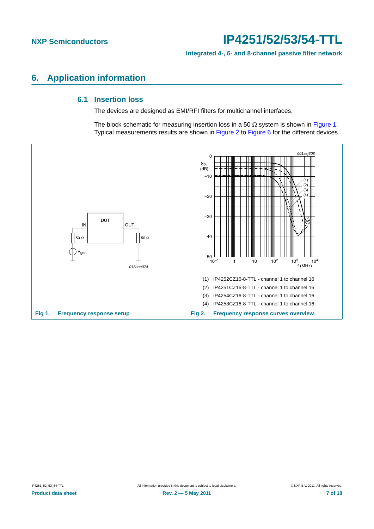**Integrated 4-, 6- and 8-channel passive filter network**

### <span id="page-6-3"></span><span id="page-6-2"></span>**6. Application information**

#### **6.1 Insertion loss**

The devices are designed as EMI/RFI filters for multichannel interfaces.

<span id="page-6-1"></span>The block schematic for measuring insertion loss in a 50  $\Omega$  system is shown in [Figure 1.](#page-6-0) Typical measurements results are shown in **Figure 2** to [Figure 6](#page-7-0) for the different devices.

<span id="page-6-0"></span>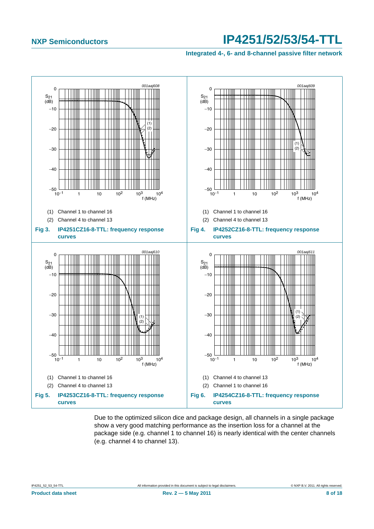**Integrated 4-, 6- and 8-channel passive filter network**



<span id="page-7-0"></span>Due to the optimized silicon dice and package design, all channels in a single package show a very good matching performance as the insertion loss for a channel at the package side (e.g. channel 1 to channel 16) is nearly identical with the center channels (e.g. channel 4 to channel 13).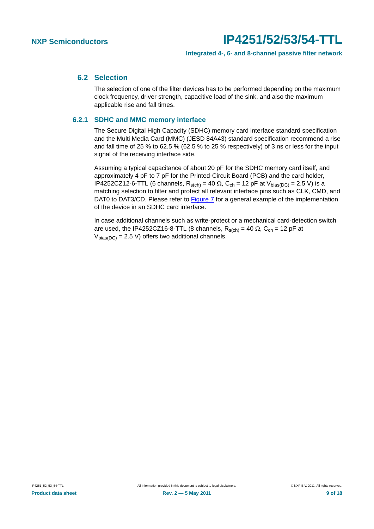#### <span id="page-8-0"></span>**6.2 Selection**

The selection of one of the filter devices has to be performed depending on the maximum clock frequency, driver strength, capacitive load of the sink, and also the maximum applicable rise and fall times.

#### <span id="page-8-1"></span>**6.2.1 SDHC and MMC memory interface**

The Secure Digital High Capacity (SDHC) memory card interface standard specification and the Multi Media Card (MMC) (JESD 84A43) standard specification recommend a rise and fall time of 25 % to 62.5 % (62.5 % to 25 % respectively) of 3 ns or less for the input signal of the receiving interface side.

Assuming a typical capacitance of about 20 pF for the SDHC memory card itself, and approximately 4 pF to 7 pF for the Printed-Circuit Board (PCB) and the card holder, IP4252CZ12-6-TTL (6 channels,  $R_{s(ch)} = 40 \Omega$ ,  $C_{ch} = 12$  pF at  $V_{bias(DC)} = 2.5 V$ ) is a matching selection to filter and protect all relevant interface pins such as CLK, CMD, and DAT0 to DAT3/CD. Please refer to [Figure 7](#page-9-0) for a general example of the implementation of the device in an SDHC card interface.

In case additional channels such as write-protect or a mechanical card-detection switch are used, the IP4252CZ16-8-TTL (8 channels,  $R_{s(ch)} = 40 \Omega$ ,  $C_{ch} = 12$  pF at  $V_{bias(DC)} = 2.5$  V) offers two additional channels.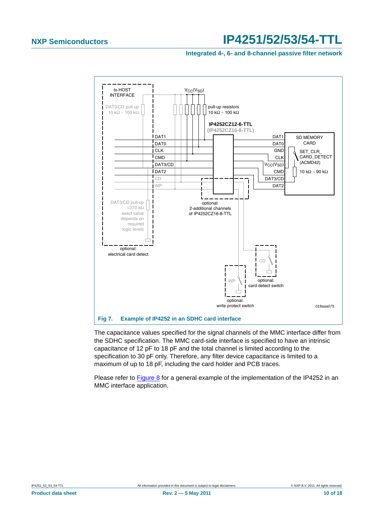#### **Integrated 4-, 6- and 8-channel passive filter network**



<span id="page-9-0"></span>The capacitance values specified for the signal channels of the MMC interface differ from the SDHC specification. The MMC card-side interface is specified to have an intrinsic capacitance of 12 pF to 18 pF and the total channel is limited according to the specification to 30 pF only. Therefore, any filter device capacitance is limited to a maximum of up to 18 pF, including the card holder and PCB traces.

Please refer to [Figure 8](#page-10-0) for a general example of the implementation of the IP4252 in an MMC interface application.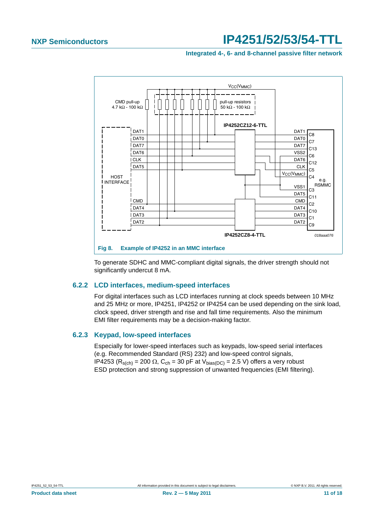#### **Integrated 4-, 6- and 8-channel passive filter network**



<span id="page-10-0"></span>To generate SDHC and MMC-compliant digital signals, the driver strength should not significantly undercut 8 mA.

#### <span id="page-10-1"></span>**6.2.2 LCD interfaces, medium-speed interfaces**

For digital interfaces such as LCD interfaces running at clock speeds between 10 MHz and 25 MHz or more, IP4251, IP4252 or IP4254 can be used depending on the sink load, clock speed, driver strength and rise and fall time requirements. Also the minimum EMI filter requirements may be a decision-making factor.

#### <span id="page-10-2"></span>**6.2.3 Keypad, low-speed interfaces**

Especially for lower-speed interfaces such as keypads, low-speed serial interfaces (e.g. Recommended Standard (RS) 232) and low-speed control signals, IP4253 (R<sub>s(ch)</sub> = 200  $\Omega$ , C<sub>ch</sub> = 30 pF at V<sub>bias(DC)</sub> = 2.5 V) offers a very robust ESD protection and strong suppression of unwanted frequencies (EMI filtering).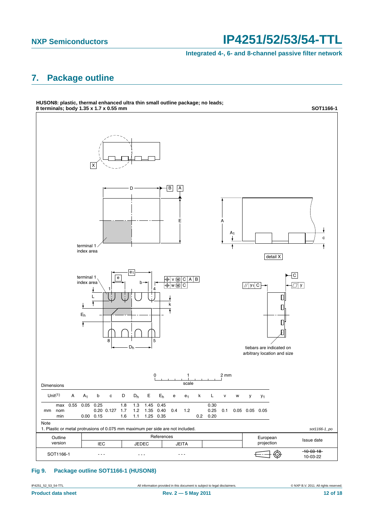**Integrated 4-, 6- and 8-channel passive filter network**

### <span id="page-11-0"></span>**7. Package outline**



#### **Fig 9. Package outline SOT1166-1 (HUSON8)**

IP4251\_52\_53\_54-TTL All information provided in this document is subject to legal disclaimers. © NXP B.V. 2011. All rights reserved.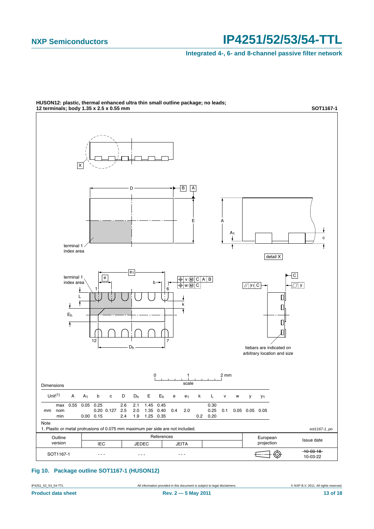**Integrated 4-, 6- and 8-channel passive filter network**



**HUSON12: plastic, thermal enhanced ultra thin small outline package; no leads;**

#### **Fig 10. Package outline SOT1167-1 (HUSON12)**

IP4251\_52\_53\_54-TTL All information provided in this document is subject to legal disclaimers. © NXP B.V. 2011. All rights reserved.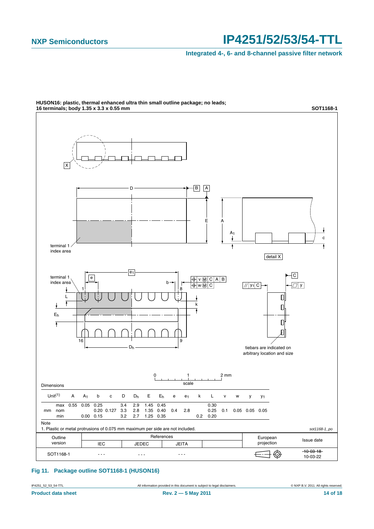**Integrated 4-, 6- and 8-channel passive filter network**



**HUSON16: plastic, thermal enhanced ultra thin small outline package; no leads;**

#### **Fig 11. Package outline SOT1168-1 (HUSON16)**

IP4251\_52\_53\_54-TTL All information provided in this document is subject to legal disclaimers. © NXP B.V. 2011. All rights reserved.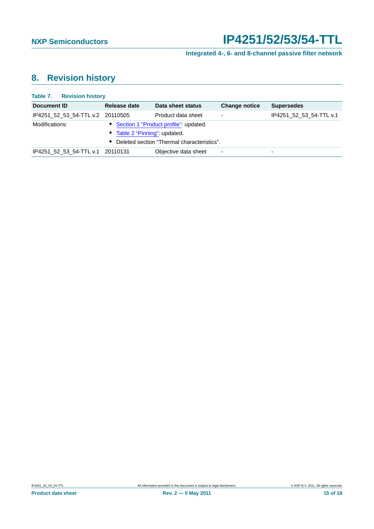**Integrated 4-, 6- and 8-channel passive filter network**

### <span id="page-14-0"></span>**8. Revision history**

| <b>Table 7. Revision history</b> |                               |                                              |                          |                         |
|----------------------------------|-------------------------------|----------------------------------------------|--------------------------|-------------------------|
| Document ID                      | Release date                  | Data sheet status                            | <b>Change notice</b>     | <b>Supersedes</b>       |
| IP4251 52 53 54-TTL v.2 20110505 |                               | Product data sheet                           |                          | IP4251_52_53_54-TTL v.1 |
| Modifications:                   |                               | • Section 1 "Product profile": updated.      |                          |                         |
|                                  | • Table 2 "Pinning": updated. |                                              |                          |                         |
|                                  |                               | • Deleted section "Thermal characteristics". |                          |                         |
| IP4251 52 53 54-TTL v.1 20110131 |                               | Objective data sheet                         | $\overline{\phantom{0}}$ | -                       |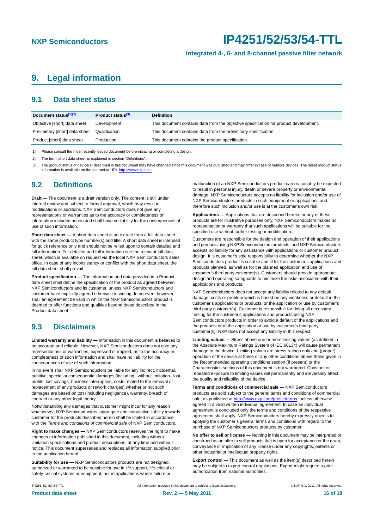#### **Integrated 4-, 6- and 8-channel passive filter network**

### <span id="page-15-0"></span>**9. Legal information**

#### <span id="page-15-1"></span>**9.1 Data sheet status**

| Document status[1][2]          | Product status <sup>[3]</sup> | <b>Definition</b>                                                                     |
|--------------------------------|-------------------------------|---------------------------------------------------------------------------------------|
| Objective [short] data sheet   | Development                   | This document contains data from the objective specification for product development. |
| Preliminary [short] data sheet | Qualification                 | This document contains data from the preliminary specification.                       |
| Product [short] data sheet     | Production                    | This document contains the product specification.                                     |

[1] Please consult the most recently issued document before initiating or completing a design.

[2] The term 'short data sheet' is explained in section "Definitions".

[3] The product status of device(s) described in this document may have changed since this document was published and may differ in case of multiple devices. The latest product status<br>information is available on the Intern

#### <span id="page-15-2"></span>**9.2 Definitions**

**Draft —** The document is a draft version only. The content is still under internal review and subject to formal approval, which may result in modifications or additions. NXP Semiconductors does not give any representations or warranties as to the accuracy or completeness of information included herein and shall have no liability for the consequences of use of such information.

**Short data sheet —** A short data sheet is an extract from a full data sheet with the same product type number(s) and title. A short data sheet is intended for quick reference only and should not be relied upon to contain detailed and full information. For detailed and full information see the relevant full data sheet, which is available on request via the local NXP Semiconductors sales office. In case of any inconsistency or conflict with the short data sheet, the full data sheet shall prevail.

**Product specification —** The information and data provided in a Product data sheet shall define the specification of the product as agreed between NXP Semiconductors and its customer, unless NXP Semiconductors and customer have explicitly agreed otherwise in writing. In no event however, shall an agreement be valid in which the NXP Semiconductors product is deemed to offer functions and qualities beyond those described in the Product data sheet.

#### <span id="page-15-3"></span>**9.3 Disclaimers**

**Limited warranty and liability —** Information in this document is believed to be accurate and reliable. However, NXP Semiconductors does not give any representations or warranties, expressed or implied, as to the accuracy or completeness of such information and shall have no liability for the consequences of use of such information.

In no event shall NXP Semiconductors be liable for any indirect, incidental, punitive, special or consequential damages (including - without limitation - lost profits, lost savings, business interruption, costs related to the removal or replacement of any products or rework charges) whether or not such damages are based on tort (including negligence), warranty, breach of contract or any other legal theory.

Notwithstanding any damages that customer might incur for any reason whatsoever, NXP Semiconductors' aggregate and cumulative liability towards customer for the products described herein shall be limited in accordance with the *Terms and conditions of commercial sale* of NXP Semiconductors.

**Right to make changes —** NXP Semiconductors reserves the right to make changes to information published in this document, including without limitation specifications and product descriptions, at any time and without notice. This document supersedes and replaces all information supplied prior to the publication hereof.

**Suitability for use —** NXP Semiconductors products are not designed, authorized or warranted to be suitable for use in life support, life-critical or safety-critical systems or equipment, nor in applications where failure or

malfunction of an NXP Semiconductors product can reasonably be expected to result in personal injury, death or severe property or environmental damage. NXP Semiconductors accepts no liability for inclusion and/or use of NXP Semiconductors products in such equipment or applications and therefore such inclusion and/or use is at the customer's own risk.

**Applications —** Applications that are described herein for any of these products are for illustrative purposes only. NXP Semiconductors makes no representation or warranty that such applications will be suitable for the specified use without further testing or modification.

Customers are responsible for the design and operation of their applications and products using NXP Semiconductors products, and NXP Semiconductors accepts no liability for any assistance with applications or customer product design. It is customer's sole responsibility to determine whether the NXP Semiconductors product is suitable and fit for the customer's applications and products planned, as well as for the planned application and use of customer's third party customer(s). Customers should provide appropriate design and operating safeguards to minimize the risks associated with their applications and products.

NXP Semiconductors does not accept any liability related to any default, damage, costs or problem which is based on any weakness or default in the customer's applications or products, or the application or use by customer's third party customer(s). Customer is responsible for doing all necessary testing for the customer's applications and products using NXP Semiconductors products in order to avoid a default of the applications and the products or of the application or use by customer's third party customer(s). NXP does not accept any liability in this respect.

**Limiting values —** Stress above one or more limiting values (as defined in the Absolute Maximum Ratings System of IEC 60134) will cause permanent damage to the device. Limiting values are stress ratings only and (proper) operation of the device at these or any other conditions above those given in the Recommended operating conditions section (if present) or the Characteristics sections of this document is not warranted. Constant or repeated exposure to limiting values will permanently and irreversibly affect the quality and reliability of the device.

**Terms and conditions of commercial sale —** NXP Semiconductors products are sold subject to the general terms and conditions of commercial sale, as published at<http://www.nxp.com/profile/terms>, unless otherwise agreed in a valid written individual agreement. In case an individual agreement is concluded only the terms and conditions of the respective agreement shall apply. NXP Semiconductors hereby expressly objects to applying the customer's general terms and conditions with regard to the purchase of NXP Semiconductors products by customer.

**No offer to sell or license —** Nothing in this document may be interpreted or construed as an offer to sell products that is open for acceptance or the grant, conveyance or implication of any license under any copyrights, patents or other industrial or intellectual property rights.

**Export control —** This document as well as the item(s) described herein may be subject to export control regulations. Export might require a prior authorization from national authorities.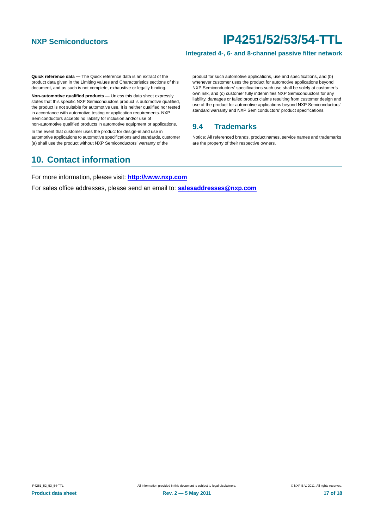#### **Integrated 4-, 6- and 8-channel passive filter network**

**Quick reference data —** The Quick reference data is an extract of the product data given in the Limiting values and Characteristics sections of this document, and as such is not complete, exhaustive or legally binding.

**Non-automotive qualified products —** Unless this data sheet expressly states that this specific NXP Semiconductors product is automotive qualified, the product is not suitable for automotive use. It is neither qualified nor tested in accordance with automotive testing or application requirements. NXP Semiconductors accepts no liability for inclusion and/or use of non-automotive qualified products in automotive equipment or applications.

In the event that customer uses the product for design-in and use in automotive applications to automotive specifications and standards, customer (a) shall use the product without NXP Semiconductors' warranty of the

### <span id="page-16-1"></span>**10. Contact information**

product for such automotive applications, use and specifications, and (b) whenever customer uses the product for automotive applications beyond NXP Semiconductors' specifications such use shall be solely at customer's own risk, and (c) customer fully indemnifies NXP Semiconductors for any liability, damages or failed product claims resulting from customer design and use of the product for automotive applications beyond NXP Semiconductors' standard warranty and NXP Semiconductors' product specifications.

#### <span id="page-16-0"></span>**9.4 Trademarks**

Notice: All referenced brands, product names, service names and trademarks are the property of their respective owners.

For more information, please visit: **http://www.nxp.com**

For sales office addresses, please send an email to: **salesaddresses@nxp.com**